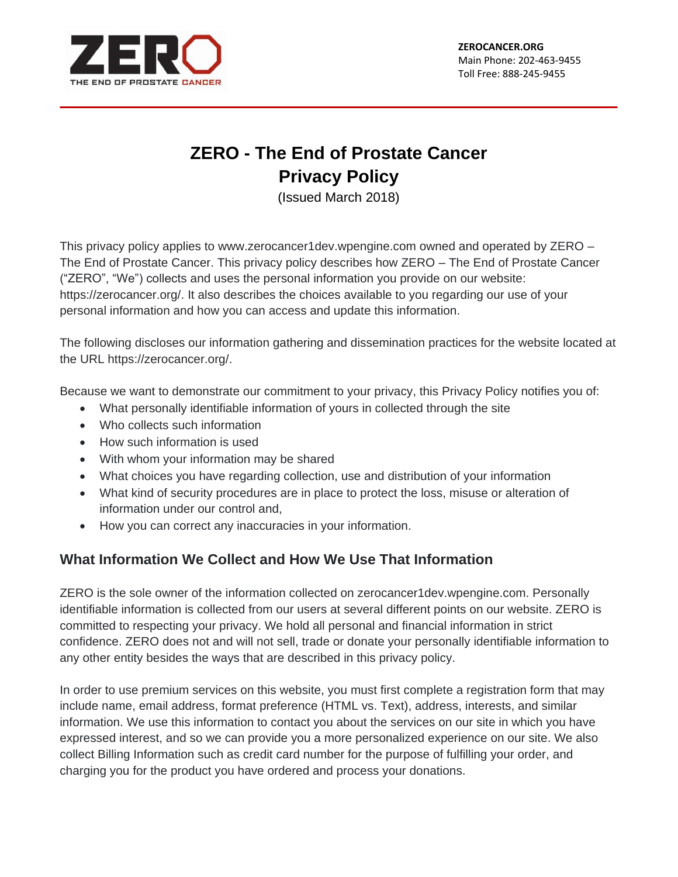

# **ZERO - The End of Prostate Cancer Privacy Policy**

(Issued March 2018)

This privacy policy applies to www.zerocancer1dev.wpengine.com owned and operated by ZERO – The End of Prostate Cancer. This privacy policy describes how ZERO – The End of Prostate Cancer ("ZERO", "We") collects and uses the personal information you provide on our website: https://zerocancer.org/. It also describes the choices available to you regarding our use of your personal information and how you can access and update this information.

The following discloses our information gathering and dissemination practices for the website located at the URL https://zerocancer.org/.

Because we want to demonstrate our commitment to your privacy, this Privacy Policy notifies you of:

- What personally identifiable information of yours in collected through the site
- Who collects such information
- How such information is used
- With whom your information may be shared
- What choices you have regarding collection, use and distribution of your information
- What kind of security procedures are in place to protect the loss, misuse or alteration of information under our control and,
- How you can correct any inaccuracies in your information.

# **What Information We Collect and How We Use That Information**

ZERO is the sole owner of the information collected on zerocancer1dev.wpengine.com. Personally identifiable information is collected from our users at several different points on our website. ZERO is committed to respecting your privacy. We hold all personal and financial information in strict confidence. ZERO does not and will not sell, trade or donate your personally identifiable information to any other entity besides the ways that are described in this privacy policy.

In order to use premium services on this website, you must first complete a registration form that may include name, email address, format preference (HTML vs. Text), address, interests, and similar information. We use this information to contact you about the services on our site in which you have expressed interest, and so we can provide you a more personalized experience on our site. We also collect Billing Information such as credit card number for the purpose of fulfilling your order, and charging you for the product you have ordered and process your donations.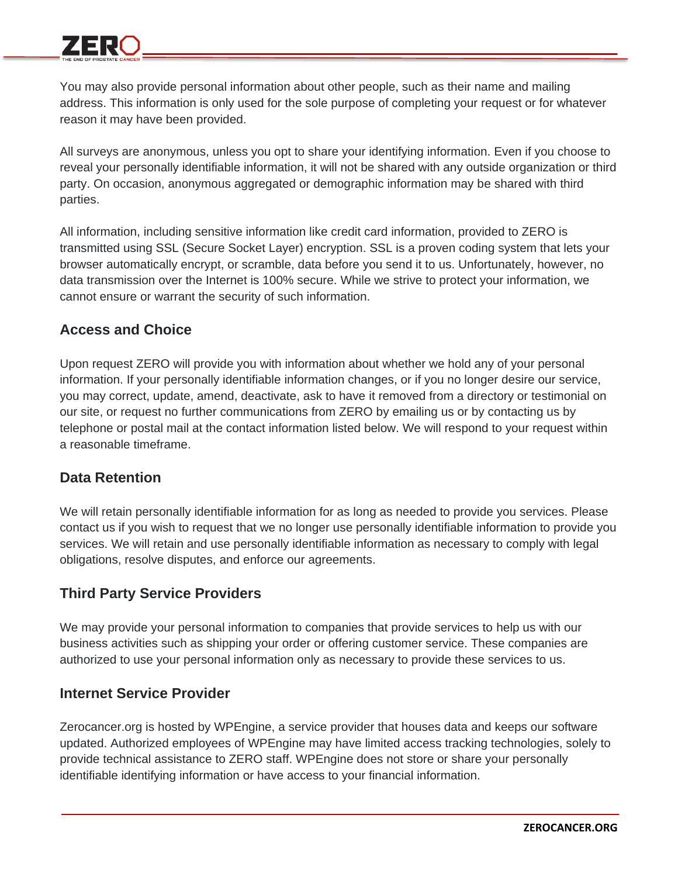You may also provide personal information about other people, such as their name and mailing address. This information is only used for the sole purpose of completing your request or for whatever reason it may have been provided.

All surveys are anonymous, unless you opt to share your identifying information. Even if you choose to reveal your personally identifiable information, it will not be shared with any outside organization or third party. On occasion, anonymous aggregated or demographic information may be shared with third parties.

All information, including sensitive information like credit card information, provided to ZERO is transmitted using SSL (Secure Socket Layer) encryption. SSL is a proven coding system that lets your browser automatically encrypt, or scramble, data before you send it to us. Unfortunately, however, no data transmission over the Internet is 100% secure. While we strive to protect your information, we cannot ensure or warrant the security of such information.

# **Access and Choice**

Upon request ZERO will provide you with information about whether we hold any of your personal information. If your personally identifiable information changes, or if you no longer desire our service, you may correct, update, amend, deactivate, ask to have it removed from a directory or testimonial on our site, or request no further communications from ZERO by emailing us or by contacting us by telephone or postal mail at the contact information listed below. We will respond to your request within a reasonable timeframe.

# **Data Retention**

We will retain personally identifiable information for as long as needed to provide you services. Please contact us if you wish to request that we no longer use personally identifiable information to provide you services. We will retain and use personally identifiable information as necessary to comply with legal obligations, resolve disputes, and enforce our agreements.

# **Third Party Service Providers**

We may provide your personal information to companies that provide services to help us with our business activities such as shipping your order or offering customer service. These companies are authorized to use your personal information only as necessary to provide these services to us.

# **Internet Service Provider**

Zerocancer.org is hosted by WPEngine, a service provider that houses data and keeps our software updated. Authorized employees of WPEngine may have limited access tracking technologies, solely to provide technical assistance to ZERO staff. WPEngine does not store or share your personally identifiable identifying information or have access to your financial information.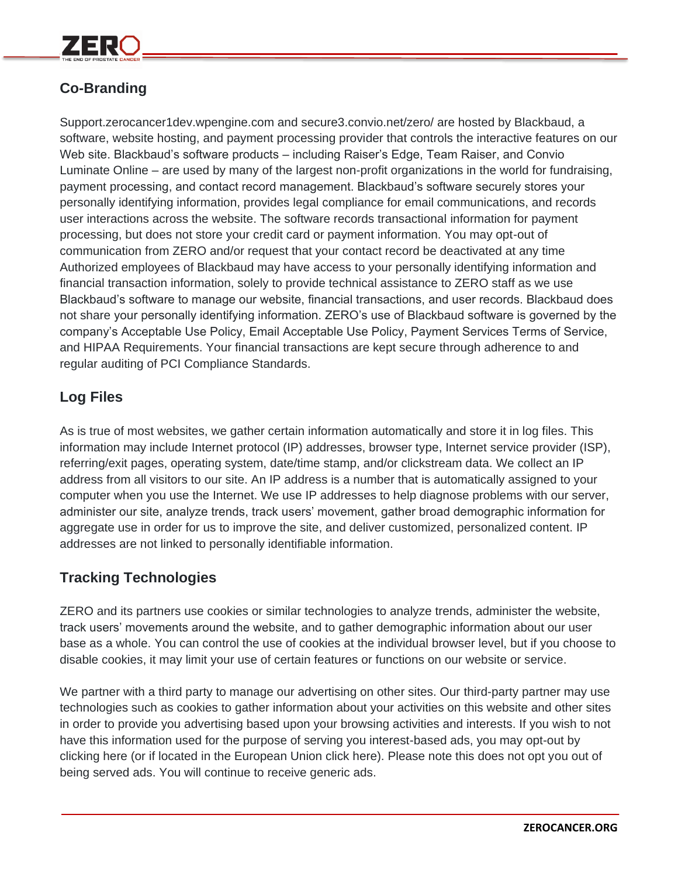# **Co-Branding**

Support.zerocancer1dev.wpengine.com and secure3.convio.net/zero/ are hosted by Blackbaud, a software, website hosting, and payment processing provider that controls the interactive features on our Web site. Blackbaud's software products – including Raiser's Edge, Team Raiser, and Convio Luminate Online – are used by many of the largest non-profit organizations in the world for fundraising, payment processing, and contact record management. Blackbaud's software securely stores your personally identifying information, provides legal compliance for email communications, and records user interactions across the website. The software records transactional information for payment processing, but does not store your credit card or payment information. You may opt-out of communication from ZERO and/or request that your contact record be deactivated at any time Authorized employees of Blackbaud may have access to your personally identifying information and financial transaction information, solely to provide technical assistance to ZERO staff as we use Blackbaud's software to manage our website, financial transactions, and user records. Blackbaud does not share your personally identifying information. ZERO's use of Blackbaud software is governed by the company's Acceptable Use Policy, Email Acceptable Use Policy, Payment Services Terms of Service, and HIPAA Requirements. Your financial transactions are kept secure through adherence to and regular auditing of PCI Compliance Standards.

# **Log Files**

As is true of most websites, we gather certain information automatically and store it in log files. This information may include Internet protocol (IP) addresses, browser type, Internet service provider (ISP), referring/exit pages, operating system, date/time stamp, and/or clickstream data. We collect an IP address from all visitors to our site. An IP address is a number that is automatically assigned to your computer when you use the Internet. We use IP addresses to help diagnose problems with our server, administer our site, analyze trends, track users' movement, gather broad demographic information for aggregate use in order for us to improve the site, and deliver customized, personalized content. IP addresses are not linked to personally identifiable information.

# **Tracking Technologies**

ZERO and its partners use cookies or similar technologies to analyze trends, administer the website, track users' movements around the website, and to gather demographic information about our user base as a whole. You can control the use of cookies at the individual browser level, but if you choose to disable cookies, it may limit your use of certain features or functions on our website or service.

We partner with a third party to manage our advertising on other sites. Our third-party partner may use technologies such as cookies to gather information about your activities on this website and other sites in order to provide you advertising based upon your browsing activities and interests. If you wish to not have this information used for the purpose of serving you interest-based ads, you may opt-out by clicking here (or if located in the European Union click here). Please note this does not opt you out of being served ads. You will continue to receive generic ads.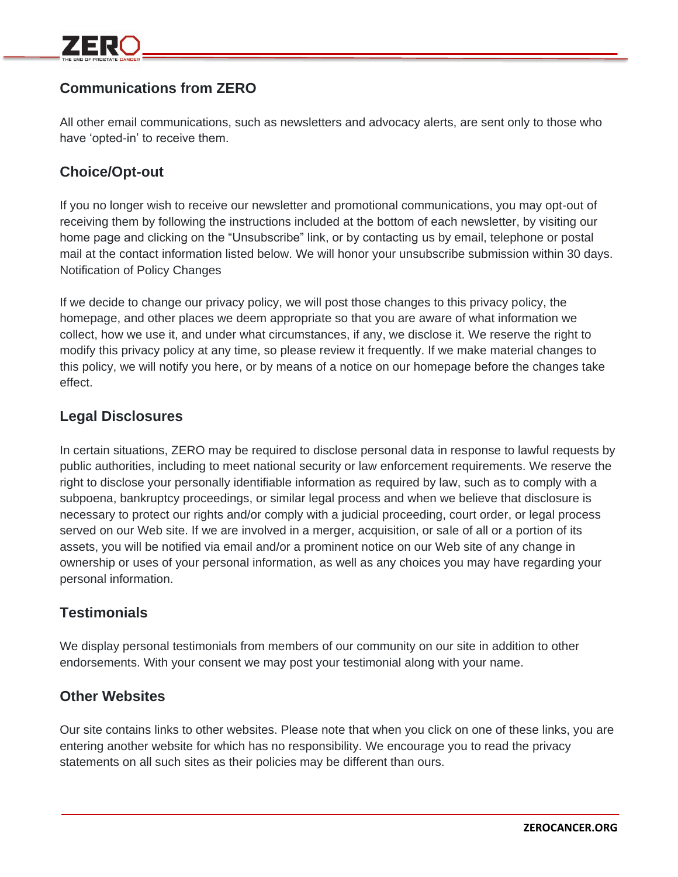# **Communications from ZERO**

All other email communications, such as newsletters and advocacy alerts, are sent only to those who have 'opted-in' to receive them.

### **Choice/Opt-out**

If you no longer wish to receive our newsletter and promotional communications, you may opt-out of receiving them by following the instructions included at the bottom of each newsletter, by visiting our home page and clicking on the "Unsubscribe" link, or by contacting us by email, telephone or postal mail at the contact information listed below. We will honor your unsubscribe submission within 30 days. Notification of Policy Changes

If we decide to change our privacy policy, we will post those changes to this privacy policy, the homepage, and other places we deem appropriate so that you are aware of what information we collect, how we use it, and under what circumstances, if any, we disclose it. We reserve the right to modify this privacy policy at any time, so please review it frequently. If we make material changes to this policy, we will notify you here, or by means of a notice on our homepage before the changes take effect.

### **Legal Disclosures**

In certain situations, ZERO may be required to disclose personal data in response to lawful requests by public authorities, including to meet national security or law enforcement requirements. We reserve the right to disclose your personally identifiable information as required by law, such as to comply with a subpoena, bankruptcy proceedings, or similar legal process and when we believe that disclosure is necessary to protect our rights and/or comply with a judicial proceeding, court order, or legal process served on our Web site. If we are involved in a merger, acquisition, or sale of all or a portion of its assets, you will be notified via email and/or a prominent notice on our Web site of any change in ownership or uses of your personal information, as well as any choices you may have regarding your personal information.

#### **Testimonials**

We display personal testimonials from members of our community on our site in addition to other endorsements. With your consent we may post your testimonial along with your name.

#### **Other Websites**

Our site contains links to other websites. Please note that when you click on one of these links, you are entering another website for which has no responsibility. We encourage you to read the privacy statements on all such sites as their policies may be different than ours.